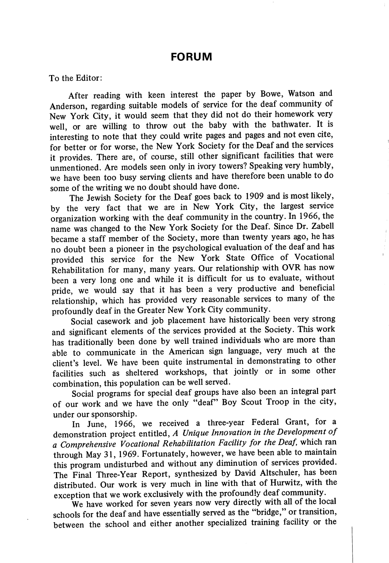## FORUM

To the Editor;

After reading with keen interest the paper by Bowe, Watson and Anderson, regarding suitable models of service for the deaf community of New York City, it would seem that they did not do their homework very well, or are willing to throw out the baby with the bathwater. It is interesting to note that they could write pages and pages and not even cite, for better or for worse, the New York Society for the Deaf and the services it provides. There are, of course, still other significant facilities that were unmentioned. Are models seen only in ivory towers? Speaking very humbly, we have been too busy serving clients and have therefore been unable to do some of the writing we no doubt should have done.

The Jewish Society for the Deaf goes back to 1909 and is most likely, by the very fact that we are in New York City, the largest service organization working with the deaf community in the country. In 1966, the name was changed to the New York Society for the Deaf. Since Dr. Zabell became a staff member of the Society, more than twenty years ago, he has no doubt been a pioneer in the psychological evaluation of the deaf and has provided this service for the New York State Office of Vocational Rehabilitation for many, many years. Our relationship with OVR has now been a very long one and while it is difficult for us to evaluate, without pride, we would say that it has been a very productive and beneficial relationship, which has provided very reasonable services to many of the profoundly deaf in the Greater New York City community.

Social casework and job placement have historically been very strong and significant elements of the services provided at the Society. This work has traditionally been done by well trained individuals who are more than able to communicate in the American sign language, very much at the client's level. We have been quite instrumental in demonstrating to other facilities such as sheltered workshops, that jointly or in some other combination, this population can be well served.

Social programs for special deaf groups have also been an integral part of our work and we have the only "deaf" Boy Scout Troop in the city, under our sponsorship.

In June, 1966, we received a three-year Federal Grant, for a demonstration project entitled, A Unique Innovation in the Development of a Comprehensive Vocational Rehabilitation Facility for the Deaf, which ran through May 31, 1969. Fortunately, however, we have been able to maintain this program undisturbed and without any diminution of services provided. The Final Three-Year Report, synthesized by David Altschuler, has been distributed. Our work is very much in line with that of Hurwitz, with the exception that we work exclusively with the profoundly deaf community.

We have worked for seven years now very directly with all of the local schools for the deaf and have essentially served as the "bridge," or transition, between the school and either another specialized training facility or the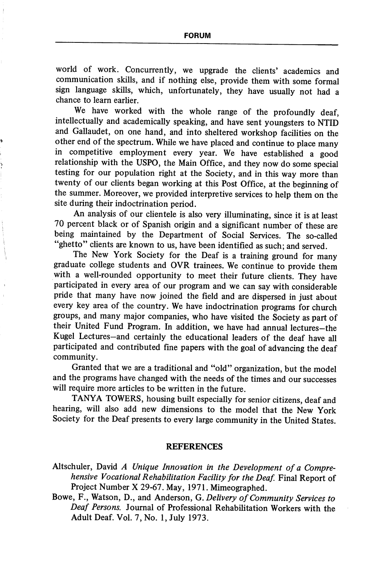world of work. Concurrently, we upgrade the clients' academics and communication skills, and if nothing else, provide them with some formal sign language skills, which, unfortunately, they have usually not had a chance to leam earlier.

We have worked with the whole range of the profoundly deaf, intellectually and academically speaking, and have sent youngsters to NTID and Gallaudet, on one hand, and into sheltered workshop facilities on the other end of the spectrum. While we have placed and continue to place many in competitive employment every year. We have established a good relationship with the USPO, the Main Office, and they now do some special testing for our population right at the Society, and in this way more than twenty of our clients began working at this Post Office, at the beginning of the summer. Moreover, we provided interpretive services to help them on the site during their indoctrination period.

An analysis of our clientele is also very illuminating, since it is at least 70 percent black or of Spanish origin and a significant number of these are being maintained by the Department of Social Services. The so-called "ghetto" clients are known to us, have been identified as such; and served.

The New York Society for the Deaf is a training ground for many graduate college students and OVR trainees. We continue to provide them with a well-rounded opportunity to meet their future clients. They have participated in every area of our program and we can say with considerable pride that many have now joined the field and are dispersed in just about every key area of the country. We have indoctrination programs for church groups, and many major companies, who have visited the Society as part of their United Fund Program. In addition, we have had annual lectures—the Kugel Lectures-and certainly the educational leaders of the deaf have all participated and contributed fine papers with the goal of advancing the deaf community.

Granted that we are a traditional and "old" organization, but the model and the programs have changed with the needs of the times and our successes will require more articles to be written in the future.

TANYA TOWERS, housing built especially for senior citizens, deaf and hearing, will also add new dimensions to the model that the New York Society for the Deaf presents to every large community in the United States.

## REFERENCES

- Altschuler, David A Unique Innovation in the Development of a Comprehensive Vocational Rehabilitation Facility for the Deaf. Final Report of Project Number X 29-67. May, 1971. Mimeographed.
- Bowe, F., Watson, D., and Anderson, G. Delivery of Community Services to Deaf Persons. Journal of Professional Rehabilitation Workers with the Adult Deaf. Vol. 7, No. 1, July 1973.